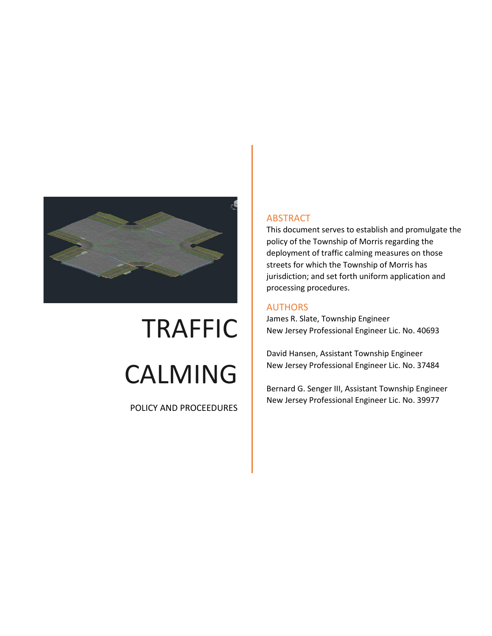

# TRAFFIC CALMING

POLICY AND PROCEEDURES

#### ABSTRACT

This document serves to establish and promulgate the policy of the Township of Morris regarding the deployment of traffic calming measures on those streets for which the Township of Morris has jurisdiction; and set forth uniform application and processing procedures.

#### AUTHORS

James R. Slate, Township Engineer New Jersey Professional Engineer Lic. No. 40693

David Hansen, Assistant Township Engineer New Jersey Professional Engineer Lic. No. 37484

Bernard G. Senger III, Assistant Township Engineer New Jersey Professional Engineer Lic. No. 39977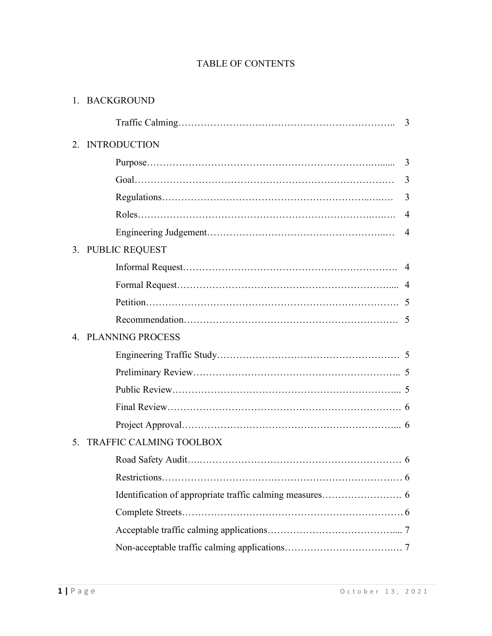## TABLE OF CONTENTS

| 1. BACKGROUND |
|---------------|
|---------------|

|    |                         | 3              |
|----|-------------------------|----------------|
| 2. | <b>INTRODUCTION</b>     |                |
|    |                         |                |
|    |                         | $\overline{3}$ |
|    |                         | 3              |
|    |                         | $\overline{4}$ |
|    |                         |                |
|    | 3. PUBLIC REQUEST       |                |
|    |                         |                |
|    |                         |                |
|    |                         |                |
|    |                         |                |
|    | 4. PLANNING PROCESS     |                |
|    |                         |                |
|    |                         |                |
|    |                         |                |
|    |                         |                |
|    |                         |                |
| 5. | TRAFFIC CALMING TOOLBOX |                |
|    |                         |                |
|    |                         |                |
|    |                         |                |
|    |                         |                |
|    |                         |                |
|    |                         |                |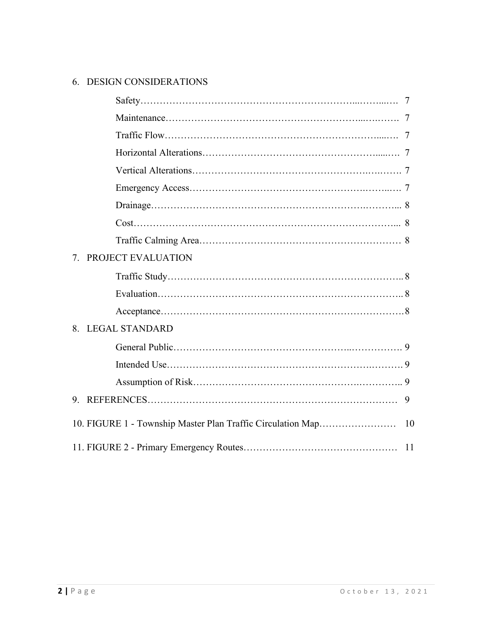# 6. DESIGN CONSIDERATIONS

| 7. | PROJECT EVALUATION |  |
|----|--------------------|--|
|    |                    |  |
|    |                    |  |
|    |                    |  |
|    | 8. LEGAL STANDARD  |  |
|    |                    |  |
|    |                    |  |
|    |                    |  |
| 9. |                    |  |
|    |                    |  |
|    |                    |  |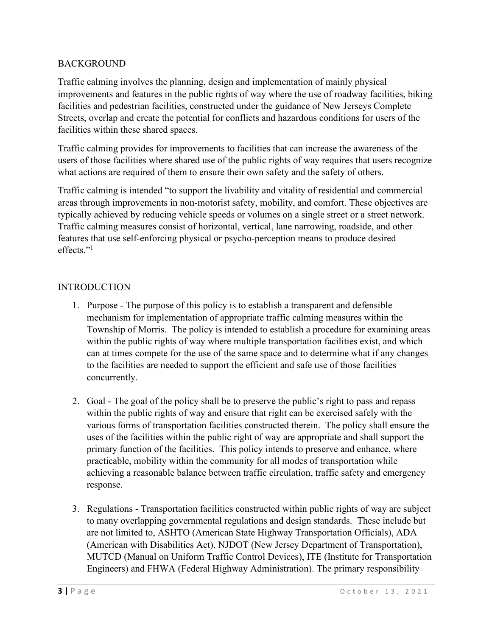#### **BACKGROUND**

Traffic calming involves the planning, design and implementation of mainly physical improvements and features in the public rights of way where the use of roadway facilities, biking facilities and pedestrian facilities, constructed under the guidance of New Jerseys Complete Streets, overlap and create the potential for conflicts and hazardous conditions for users of the facilities within these shared spaces.

Traffic calming provides for improvements to facilities that can increase the awareness of the users of those facilities where shared use of the public rights of way requires that users recognize what actions are required of them to ensure their own safety and the safety of others.

Traffic calming is intended "to support the livability and vitality of residential and commercial areas through improvements in non-motorist safety, mobility, and comfort. These objectives are typically achieved by reducing vehicle speeds or volumes on a single street or a street network. Traffic calming measures consist of horizontal, vertical, lane narrowing, roadside, and other features that use self-enforcing physical or psycho-perception means to produce desired effects."<sup>1</sup>

#### **INTRODUCTION**

- 1. Purpose The purpose of this policy is to establish a transparent and defensible mechanism for implementation of appropriate traffic calming measures within the Township of Morris. The policy is intended to establish a procedure for examining areas within the public rights of way where multiple transportation facilities exist, and which can at times compete for the use of the same space and to determine what if any changes to the facilities are needed to support the efficient and safe use of those facilities concurrently.
- 2. Goal The goal of the policy shall be to preserve the public's right to pass and repass within the public rights of way and ensure that right can be exercised safely with the various forms of transportation facilities constructed therein. The policy shall ensure the uses of the facilities within the public right of way are appropriate and shall support the primary function of the facilities. This policy intends to preserve and enhance, where practicable, mobility within the community for all modes of transportation while achieving a reasonable balance between traffic circulation, traffic safety and emergency response.
- 3. Regulations Transportation facilities constructed within public rights of way are subject to many overlapping governmental regulations and design standards. These include but are not limited to, ASHTO (American State Highway Transportation Officials), ADA (American with Disabilities Act), NJDOT (New Jersey Department of Transportation), MUTCD (Manual on Uniform Traffic Control Devices), ITE (Institute for Transportation Engineers) and FHWA (Federal Highway Administration). The primary responsibility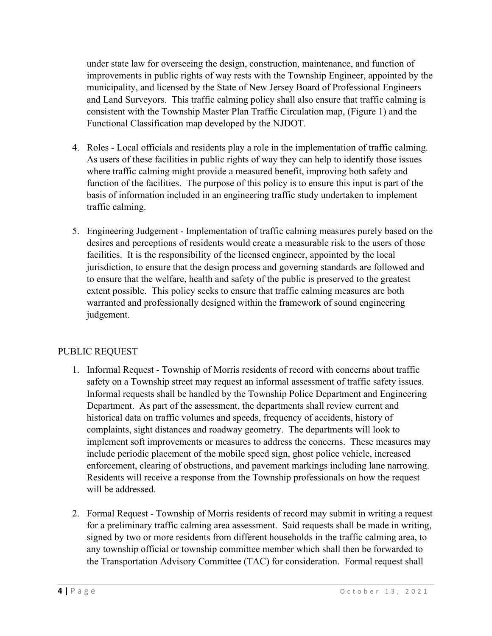under state law for overseeing the design, construction, maintenance, and function of improvements in public rights of way rests with the Township Engineer, appointed by the municipality, and licensed by the State of New Jersey Board of Professional Engineers and Land Surveyors. This traffic calming policy shall also ensure that traffic calming is consistent with the Township Master Plan Traffic Circulation map, (Figure 1) and the Functional Classification map developed by the NJDOT.

- 4. Roles Local officials and residents play a role in the implementation of traffic calming. As users of these facilities in public rights of way they can help to identify those issues where traffic calming might provide a measured benefit, improving both safety and function of the facilities. The purpose of this policy is to ensure this input is part of the basis of information included in an engineering traffic study undertaken to implement traffic calming.
- 5. Engineering Judgement Implementation of traffic calming measures purely based on the desires and perceptions of residents would create a measurable risk to the users of those facilities. It is the responsibility of the licensed engineer, appointed by the local jurisdiction, to ensure that the design process and governing standards are followed and to ensure that the welfare, health and safety of the public is preserved to the greatest extent possible. This policy seeks to ensure that traffic calming measures are both warranted and professionally designed within the framework of sound engineering judgement.

## PUBLIC REQUEST

- 1. Informal Request Township of Morris residents of record with concerns about traffic safety on a Township street may request an informal assessment of traffic safety issues. Informal requests shall be handled by the Township Police Department and Engineering Department. As part of the assessment, the departments shall review current and historical data on traffic volumes and speeds, frequency of accidents, history of complaints, sight distances and roadway geometry. The departments will look to implement soft improvements or measures to address the concerns. These measures may include periodic placement of the mobile speed sign, ghost police vehicle, increased enforcement, clearing of obstructions, and pavement markings including lane narrowing. Residents will receive a response from the Township professionals on how the request will be addressed.
- 2. Formal Request Township of Morris residents of record may submit in writing a request for a preliminary traffic calming area assessment. Said requests shall be made in writing, signed by two or more residents from different households in the traffic calming area, to any township official or township committee member which shall then be forwarded to the Transportation Advisory Committee (TAC) for consideration. Formal request shall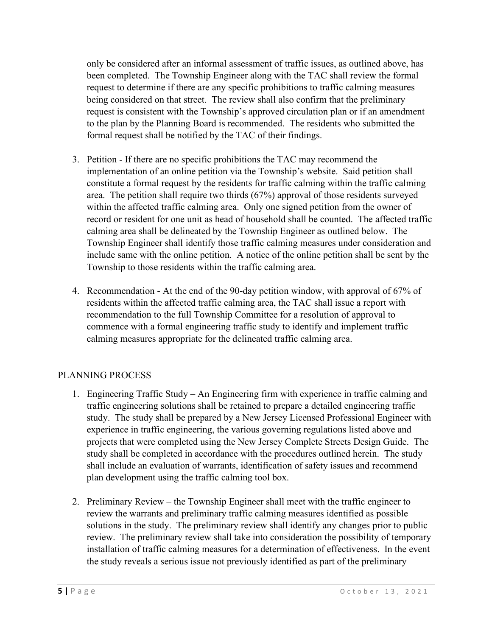only be considered after an informal assessment of traffic issues, as outlined above, has been completed. The Township Engineer along with the TAC shall review the formal request to determine if there are any specific prohibitions to traffic calming measures being considered on that street. The review shall also confirm that the preliminary request is consistent with the Township's approved circulation plan or if an amendment to the plan by the Planning Board is recommended. The residents who submitted the formal request shall be notified by the TAC of their findings.

- 3. Petition If there are no specific prohibitions the TAC may recommend the implementation of an online petition via the Township's website. Said petition shall constitute a formal request by the residents for traffic calming within the traffic calming area. The petition shall require two thirds (67%) approval of those residents surveyed within the affected traffic calming area. Only one signed petition from the owner of record or resident for one unit as head of household shall be counted. The affected traffic calming area shall be delineated by the Township Engineer as outlined below. The Township Engineer shall identify those traffic calming measures under consideration and include same with the online petition. A notice of the online petition shall be sent by the Township to those residents within the traffic calming area.
- 4. Recommendation At the end of the 90-day petition window, with approval of 67% of residents within the affected traffic calming area, the TAC shall issue a report with recommendation to the full Township Committee for a resolution of approval to commence with a formal engineering traffic study to identify and implement traffic calming measures appropriate for the delineated traffic calming area.

## PLANNING PROCESS

- 1. Engineering Traffic Study An Engineering firm with experience in traffic calming and traffic engineering solutions shall be retained to prepare a detailed engineering traffic study. The study shall be prepared by a New Jersey Licensed Professional Engineer with experience in traffic engineering, the various governing regulations listed above and projects that were completed using the New Jersey Complete Streets Design Guide. The study shall be completed in accordance with the procedures outlined herein. The study shall include an evaluation of warrants, identification of safety issues and recommend plan development using the traffic calming tool box.
- 2. Preliminary Review the Township Engineer shall meet with the traffic engineer to review the warrants and preliminary traffic calming measures identified as possible solutions in the study. The preliminary review shall identify any changes prior to public review. The preliminary review shall take into consideration the possibility of temporary installation of traffic calming measures for a determination of effectiveness. In the event the study reveals a serious issue not previously identified as part of the preliminary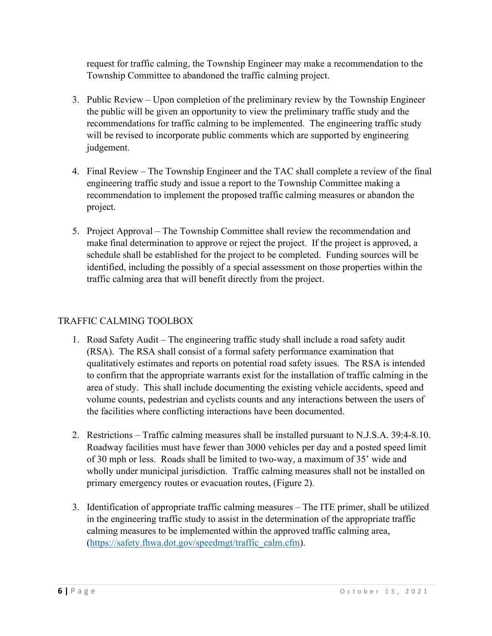request for traffic calming, the Township Engineer may make a recommendation to the Township Committee to abandoned the traffic calming project.

- 3. Public Review Upon completion of the preliminary review by the Township Engineer the public will be given an opportunity to view the preliminary traffic study and the recommendations for traffic calming to be implemented. The engineering traffic study will be revised to incorporate public comments which are supported by engineering judgement.
- 4. Final Review The Township Engineer and the TAC shall complete a review of the final engineering traffic study and issue a report to the Township Committee making a recommendation to implement the proposed traffic calming measures or abandon the project.
- 5. Project Approval The Township Committee shall review the recommendation and make final determination to approve or reject the project. If the project is approved, a schedule shall be established for the project to be completed. Funding sources will be identified, including the possibly of a special assessment on those properties within the traffic calming area that will benefit directly from the project.

## TRAFFIC CALMING TOOLBOX

- 1. Road Safety Audit The engineering traffic study shall include a road safety audit (RSA). The RSA shall consist of a formal safety performance examination that qualitatively estimates and reports on potential road safety issues. The RSA is intended to confirm that the appropriate warrants exist for the installation of traffic calming in the area of study. This shall include documenting the existing vehicle accidents, speed and volume counts, pedestrian and cyclists counts and any interactions between the users of the facilities where conflicting interactions have been documented.
- 2. Restrictions Traffic calming measures shall be installed pursuant to N.J.S.A. 39:4-8.10. Roadway facilities must have fewer than 3000 vehicles per day and a posted speed limit of 30 mph or less. Roads shall be limited to two-way, a maximum of 35' wide and wholly under municipal jurisdiction. Traffic calming measures shall not be installed on primary emergency routes or evacuation routes, (Figure 2).
- 3. Identification of appropriate traffic calming measures The ITE primer, shall be utilized in the engineering traffic study to assist in the determination of the appropriate traffic calming measures to be implemented within the approved traffic calming area, [\(https://safety.fhwa.dot.gov/speedmgt/traffic\\_calm.cfm\)](https://safety.fhwa.dot.gov/speedmgt/traffic_calm.cfm).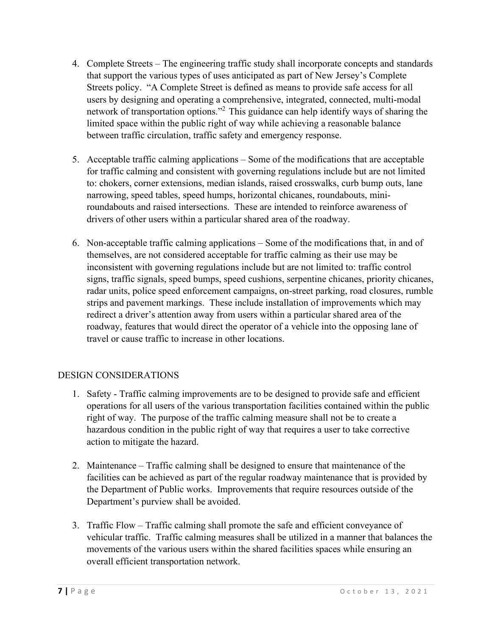- 4. Complete Streets The engineering traffic study shall incorporate concepts and standards that support the various types of uses anticipated as part of New Jersey's Complete Streets policy. "A Complete Street is defined as means to provide safe access for all users by designing and operating a comprehensive, integrated, connected, multi-modal network of transportation options."<sup>2</sup> This guidance can help identify ways of sharing the limited space within the public right of way while achieving a reasonable balance between traffic circulation, traffic safety and emergency response.
- 5. Acceptable traffic calming applications Some of the modifications that are acceptable for traffic calming and consistent with governing regulations include but are not limited to: chokers, corner extensions, median islands, raised crosswalks, curb bump outs, lane narrowing, speed tables, speed humps, horizontal chicanes, roundabouts, miniroundabouts and raised intersections. These are intended to reinforce awareness of drivers of other users within a particular shared area of the roadway.
- 6. Non-acceptable traffic calming applications Some of the modifications that, in and of themselves, are not considered acceptable for traffic calming as their use may be inconsistent with governing regulations include but are not limited to: traffic control signs, traffic signals, speed bumps, speed cushions, serpentine chicanes, priority chicanes, radar units, police speed enforcement campaigns, on-street parking, road closures, rumble strips and pavement markings. These include installation of improvements which may redirect a driver's attention away from users within a particular shared area of the roadway, features that would direct the operator of a vehicle into the opposing lane of travel or cause traffic to increase in other locations.

## DESIGN CONSIDERATIONS

- 1. Safety Traffic calming improvements are to be designed to provide safe and efficient operations for all users of the various transportation facilities contained within the public right of way. The purpose of the traffic calming measure shall not be to create a hazardous condition in the public right of way that requires a user to take corrective action to mitigate the hazard.
- 2. Maintenance Traffic calming shall be designed to ensure that maintenance of the facilities can be achieved as part of the regular roadway maintenance that is provided by the Department of Public works. Improvements that require resources outside of the Department's purview shall be avoided.
- 3. Traffic Flow Traffic calming shall promote the safe and efficient conveyance of vehicular traffic. Traffic calming measures shall be utilized in a manner that balances the movements of the various users within the shared facilities spaces while ensuring an overall efficient transportation network.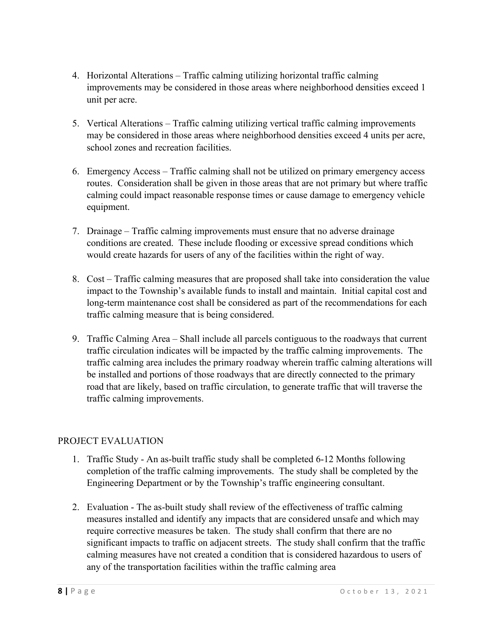- 4. Horizontal Alterations Traffic calming utilizing horizontal traffic calming improvements may be considered in those areas where neighborhood densities exceed 1 unit per acre.
- 5. Vertical Alterations Traffic calming utilizing vertical traffic calming improvements may be considered in those areas where neighborhood densities exceed 4 units per acre, school zones and recreation facilities.
- 6. Emergency Access Traffic calming shall not be utilized on primary emergency access routes. Consideration shall be given in those areas that are not primary but where traffic calming could impact reasonable response times or cause damage to emergency vehicle equipment.
- 7. Drainage Traffic calming improvements must ensure that no adverse drainage conditions are created. These include flooding or excessive spread conditions which would create hazards for users of any of the facilities within the right of way.
- 8. Cost Traffic calming measures that are proposed shall take into consideration the value impact to the Township's available funds to install and maintain. Initial capital cost and long-term maintenance cost shall be considered as part of the recommendations for each traffic calming measure that is being considered.
- 9. Traffic Calming Area Shall include all parcels contiguous to the roadways that current traffic circulation indicates will be impacted by the traffic calming improvements. The traffic calming area includes the primary roadway wherein traffic calming alterations will be installed and portions of those roadways that are directly connected to the primary road that are likely, based on traffic circulation, to generate traffic that will traverse the traffic calming improvements.

## PROJECT EVALUATION

- 1. Traffic Study An as-built traffic study shall be completed 6-12 Months following completion of the traffic calming improvements. The study shall be completed by the Engineering Department or by the Township's traffic engineering consultant.
- 2. Evaluation The as-built study shall review of the effectiveness of traffic calming measures installed and identify any impacts that are considered unsafe and which may require corrective measures be taken. The study shall confirm that there are no significant impacts to traffic on adjacent streets. The study shall confirm that the traffic calming measures have not created a condition that is considered hazardous to users of any of the transportation facilities within the traffic calming area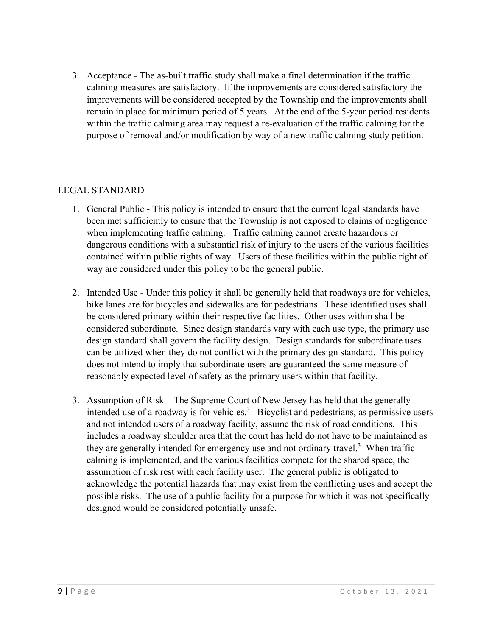3. Acceptance - The as-built traffic study shall make a final determination if the traffic calming measures are satisfactory. If the improvements are considered satisfactory the improvements will be considered accepted by the Township and the improvements shall remain in place for minimum period of 5 years. At the end of the 5-year period residents within the traffic calming area may request a re-evaluation of the traffic calming for the purpose of removal and/or modification by way of a new traffic calming study petition.

#### LEGAL STANDARD

- 1. General Public This policy is intended to ensure that the current legal standards have been met sufficiently to ensure that the Township is not exposed to claims of negligence when implementing traffic calming. Traffic calming cannot create hazardous or dangerous conditions with a substantial risk of injury to the users of the various facilities contained within public rights of way. Users of these facilities within the public right of way are considered under this policy to be the general public.
- 2. Intended Use Under this policy it shall be generally held that roadways are for vehicles, bike lanes are for bicycles and sidewalks are for pedestrians. These identified uses shall be considered primary within their respective facilities. Other uses within shall be considered subordinate. Since design standards vary with each use type, the primary use design standard shall govern the facility design. Design standards for subordinate uses can be utilized when they do not conflict with the primary design standard. This policy does not intend to imply that subordinate users are guaranteed the same measure of reasonably expected level of safety as the primary users within that facility.
- 3. Assumption of Risk The Supreme Court of New Jersey has held that the generally intended use of a roadway is for vehicles.<sup>3</sup> Bicyclist and pedestrians, as permissive users and not intended users of a roadway facility, assume the risk of road conditions. This includes a roadway shoulder area that the court has held do not have to be maintained as they are generally intended for emergency use and not ordinary travel.<sup>3</sup> When traffic calming is implemented, and the various facilities compete for the shared space, the assumption of risk rest with each facility user. The general public is obligated to acknowledge the potential hazards that may exist from the conflicting uses and accept the possible risks. The use of a public facility for a purpose for which it was not specifically designed would be considered potentially unsafe.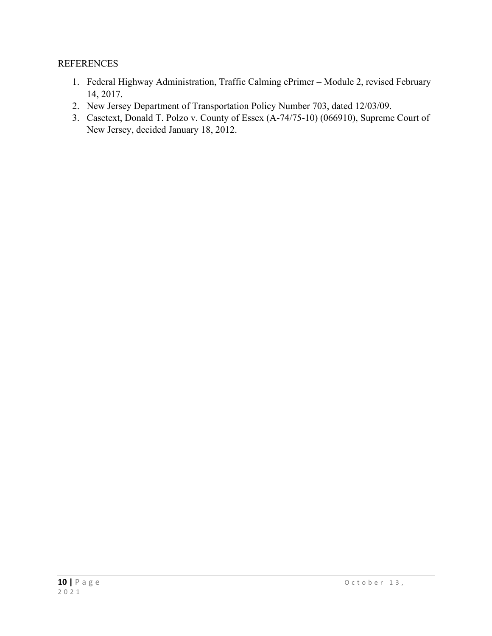#### REFERENCES

- 1. Federal Highway Administration, Traffic Calming ePrimer Module 2, revised February 14, 2017.
- 2. New Jersey Department of Transportation Policy Number 703, dated 12/03/09.
- 3. Casetext, Donald T. Polzo v. County of Essex (A-74/75-10) (066910), Supreme Court of New Jersey, decided January 18, 2012.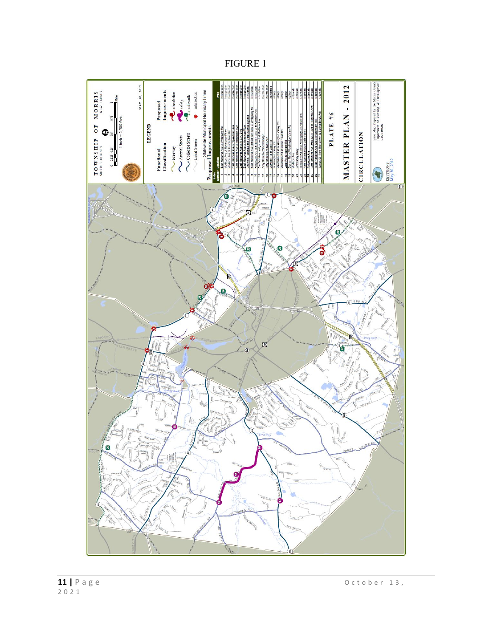FIGURE 1